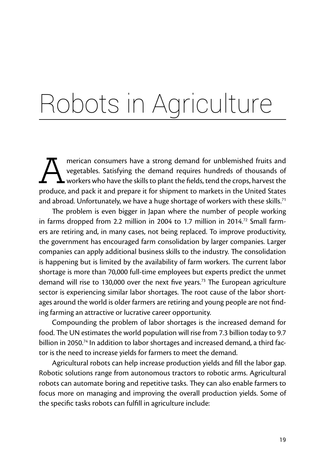## Robots in Agriculture

merican consumers have a strong demand for unblemished fruits and vegetables. Satisfying the demand requires hundreds of thousands of workers who have the skills to plant the fields, tend the crops, harvest the produce and vegetables. Satisfying the demand requires hundreds of thousands of workers who have the skills to plant the fields, tend the crops, harvest the produce, and pack it and prepare it for shipment to markets in the United States and abroad. Unfortunately, we have a huge shortage of workers with these skills.<sup>71</sup>

The problem is even bigger in Japan where the number of people working in farms dropped from 2.2 million in 2004 to 1.7 million in 2014.<sup>72</sup> Small farmers are retiring and, in many cases, not being replaced. To improve productivity, the government has encouraged farm consolidation by larger companies. Larger companies can apply additional business skills to the industry. The consolidation is happening but is limited by the availability of farm workers. The current labor shortage is more than 70,000 full-time employees but experts predict the unmet demand will rise to 130,000 over the next five years.<sup>73</sup> The European agriculture sector is experiencing similar labor shortages. The root cause of the labor shortages around the world is older farmers are retiring and young people are not finding farming an attractive or lucrative career opportunity.

Compounding the problem of labor shortages is the increased demand for food. The UN estimates the world population will rise from 7.3 billion today to 9.7 billion in 2050.<sup>74</sup> In addition to labor shortages and increased demand, a third factor is the need to increase yields for farmers to meet the demand.

Agricultural robots can help increase production yields and fill the labor gap. Robotic solutions range from autonomous tractors to robotic arms. Agricultural robots can automate boring and repetitive tasks. They can also enable farmers to focus more on managing and improving the overall production yields. Some of the specific tasks robots can fulfill in agriculture include: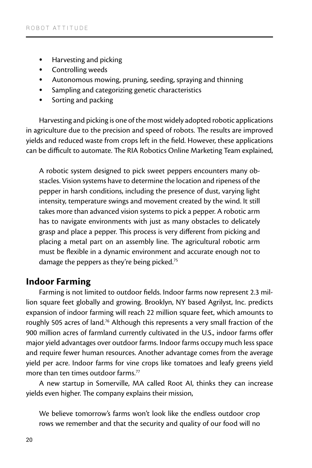- Harvesting and picking
- Controlling weeds
- Autonomous mowing, pruning, seeding, spraying and thinning
- Sampling and categorizing genetic characteristics
- Sorting and packing

Harvesting and picking is one of the most widely adopted robotic applications in agriculture due to the precision and speed of robots. The results are improved yields and reduced waste from crops left in the field. However, these applications can be difficult to automate. The RIA Robotics Online Marketing Team explained,

A robotic system designed to pick sweet peppers encounters many obstacles. Vision systems have to determine the location and ripeness of the pepper in harsh conditions, including the presence of dust, varying light intensity, temperature swings and movement created by the wind. It still takes more than advanced vision systems to pick a pepper. A robotic arm has to navigate environments with just as many obstacles to delicately grasp and place a pepper. This process is very different from picking and placing a metal part on an assembly line. The agricultural robotic arm must be flexible in a dynamic environment and accurate enough not to damage the peppers as they're being picked.<sup>75</sup>

## **Indoor Farming**

Farming is not limited to outdoor fields. Indoor farms now represent 2.3 million square feet globally and growing. Brooklyn, NY based Agrilyst, Inc. predicts expansion of indoor farming will reach 22 million square feet, which amounts to roughly 505 acres of land.<sup>76</sup> Although this represents a very small fraction of the 900 million acres of farmland currently cultivated in the U.S., indoor farms offer major yield advantages over outdoor farms. Indoor farms occupy much less space and require fewer human resources. Another advantage comes from the average yield per acre. Indoor farms for vine crops like tomatoes and leafy greens yield more than ten times outdoor farms  $77$ 

A new startup in Somerville, MA called Root AI, thinks they can increase yields even higher. The company explains their mission,

We believe tomorrow's farms won't look like the endless outdoor crop rows we remember and that the security and quality of our food will no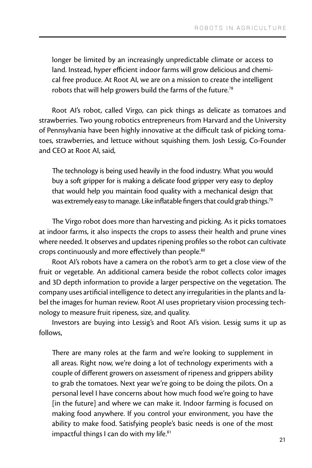longer be limited by an increasingly unpredictable climate or access to land. Instead, hyper efficient indoor farms will grow delicious and chemical free produce. At Root AI, we are on a mission to create the intelligent robots that will help growers build the farms of the future.<sup>78</sup>

Root AI's robot, called Virgo, can pick things as delicate as tomatoes and strawberries. Two young robotics entrepreneurs from Harvard and the University of Pennsylvania have been highly innovative at the difficult task of picking tomatoes, strawberries, and lettuce without squishing them. Josh Lessig, Co-Founder and CEO at Root AI, said,

The technology is being used heavily in the food industry. What you would buy a soft gripper for is making a delicate food gripper very easy to deploy that would help you maintain food quality with a mechanical design that was extremely easy to manage. Like inflatable fingers that could grab things.<sup>79</sup>

The Virgo robot does more than harvesting and picking. As it picks tomatoes at indoor farms, it also inspects the crops to assess their health and prune vines where needed. It observes and updates ripening profiles so the robot can cultivate crops continuously and more effectively than people.<sup>80</sup>

Root AI's robots have a camera on the robot's arm to get a close view of the fruit or vegetable. An additional camera beside the robot collects color images and 3D depth information to provide a larger perspective on the vegetation. The company uses artificial intelligence to detect any irregularities in the plants and label the images for human review. Root AI uses proprietary vision processing technology to measure fruit ripeness, size, and quality.

Investors are buying into Lessig's and Root AI's vision. Lessig sums it up as follows,

There are many roles at the farm and we're looking to supplement in all areas. Right now, we're doing a lot of technology experiments with a couple of different growers on assessment of ripeness and grippers ability to grab the tomatoes. Next year we're going to be doing the pilots. On a personal level I have concerns about how much food we're going to have [in the future] and where we can make it. Indoor farming is focused on making food anywhere. If you control your environment, you have the ability to make food. Satisfying people's basic needs is one of the most impactful things I can do with my life.<sup>81</sup>